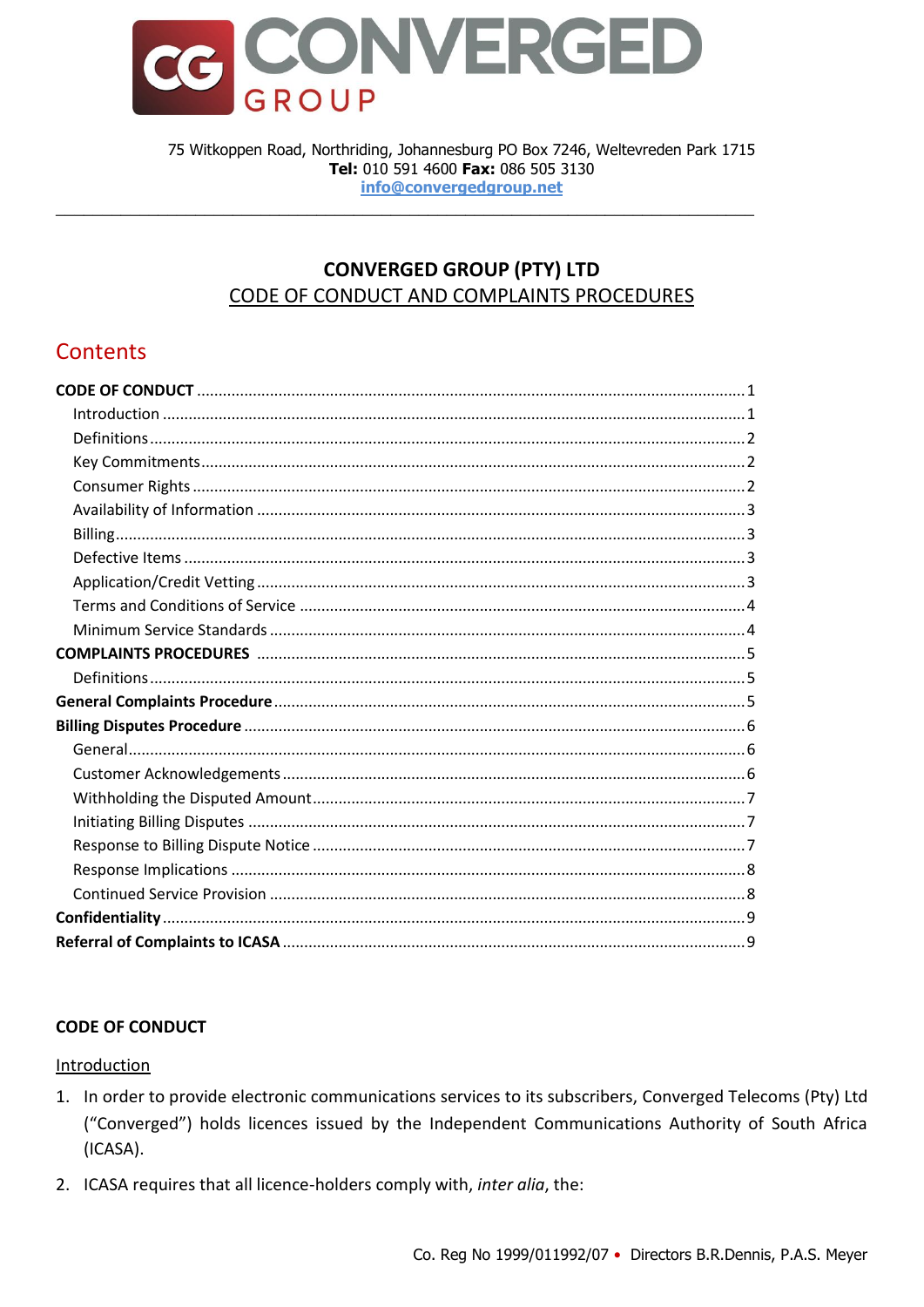

75 Witkoppen Road, Northriding, Johannesburg PO Box 7246, Weltevreden Park 1715 Tel: 010 591 4600 Fax: 086 505 3130 info@converaedaroup.net

# **CONVERGED GROUP (PTY) LTD** CODE OF CONDUCT AND COMPLAINTS PROCEDURES

# Contents

# <span id="page-0-0"></span>**CODE OF CONDUCT**

### <span id="page-0-1"></span>Introduction

- 1. In order to provide electronic communications services to its subscribers, Converged Telecoms (Pty) Ltd ("Converged") holds licences issued by the Independent Communications Authority of South Africa (ICASA).
- 2. ICASA requires that all licence-holders comply with, inter alia, the: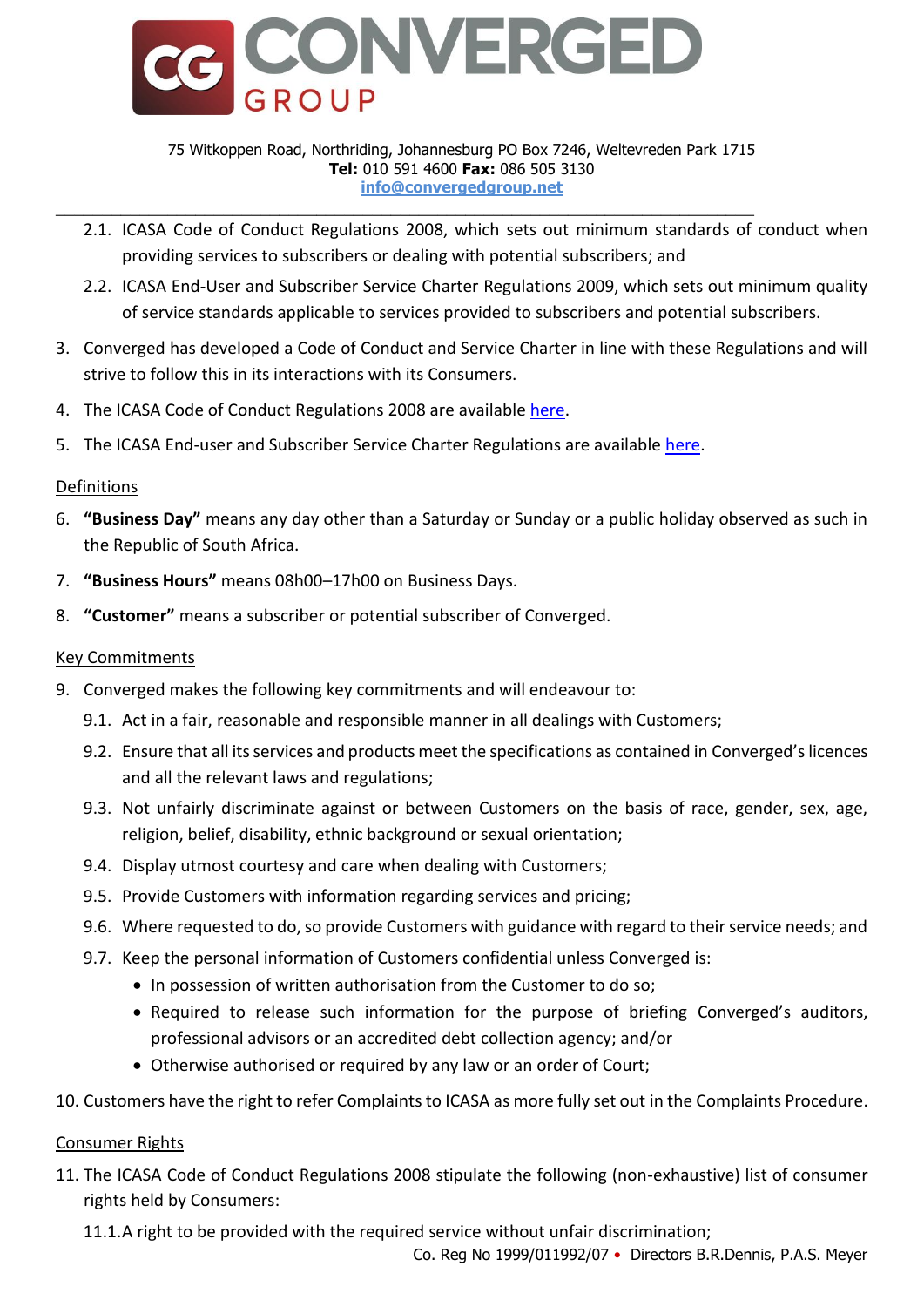

#### 75 Witkoppen Road, Northriding, Johannesburg PO Box 7246, Weltevreden Park 1715 **Tel:** 010 591 4600 **Fax:** 086 505 3130 **info@convergedgroup.net**

- 2.1. ICASA Code of Conduct Regulations 2008, which sets out minimum standards of conduct when providing services to subscribers or dealing with potential subscribers; and
- 2.2. ICASA End-User and Subscriber Service Charter Regulations 2009, which sets out minimum quality of service standards applicable to services provided to subscribers and potential subscribers.
- 3. Converged has developed a Code of Conduct and Service Charter in line with these Regulations and will strive to follow this in its interactions with its Consumers.
- 4. The ICASA Code of Conduct Regulations 2008 are available [here.](http://www.ellipsis.co.za/wp-content/uploads/2008/07/code_of_conduct_regulations_2008.pdf)
- 5. The ICASA End-user and Subscriber Service Charter Regulations are available [here.](http://www.ellipsis.co.za/wp-content/uploads/2009/07/end-user-and-subscriber-service-charter-regulations-20090724.pdf)

# <span id="page-1-0"></span>Definitions

- 6. **"Business Day"** means any day other than a Saturday or Sunday or a public holiday observed as such in the Republic of South Africa.
- 7. **"Business Hours"** means 08h00–17h00 on Business Days.
- 8. **"Customer"** means a subscriber or potential subscriber of Converged.

# <span id="page-1-1"></span>Key Commitments

- 9. Converged makes the following key commitments and will endeavour to:
	- 9.1. Act in a fair, reasonable and responsible manner in all dealings with Customers;
	- 9.2. Ensure that all its services and products meet the specifications as contained in Converged's licences and all the relevant laws and regulations;
	- 9.3. Not unfairly discriminate against or between Customers on the basis of race, gender, sex, age, religion, belief, disability, ethnic background or sexual orientation;
	- 9.4. Display utmost courtesy and care when dealing with Customers;
	- 9.5. Provide Customers with information regarding services and pricing;
	- 9.6. Where requested to do, so provide Customers with guidance with regard to their service needs; and
	- 9.7. Keep the personal information of Customers confidential unless Converged is:
		- In possession of written authorisation from the Customer to do so;
		- Required to release such information for the purpose of briefing Converged's auditors, professional advisors or an accredited debt collection agency; and/or
		- Otherwise authorised or required by any law or an order of Court;
- 10. Customers have the right to refer Complaints to ICASA as more fully set out in the Complaints Procedure.

<span id="page-1-2"></span>Consumer Rights

- 11. The ICASA Code of Conduct Regulations 2008 stipulate the following (non-exhaustive) list of consumer rights held by Consumers:
	- 11.1.A right to be provided with the required service without unfair discrimination;

Co. Reg No 1999/011992/07 • Directors B.R.Dennis, P.A.S. Meyer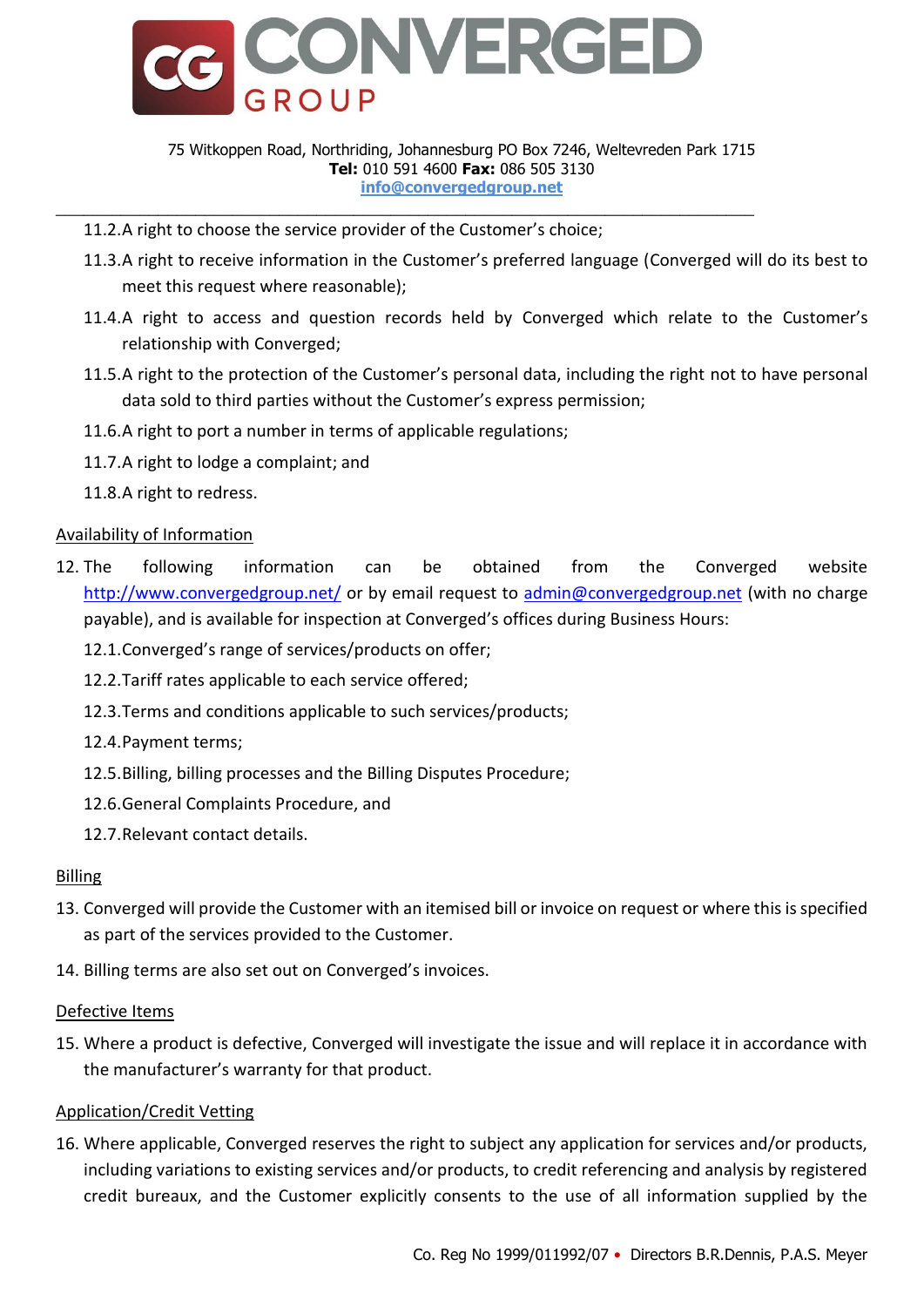

#### 75 Witkoppen Road, Northriding, Johannesburg PO Box 7246, Weltevreden Park 1715 **Tel:** 010 591 4600 **Fax:** 086 505 3130 **info@convergedgroup.net**

- 11.2.A right to choose the service provider of the Customer's choice;
- 11.3.A right to receive information in the Customer's preferred language (Converged will do its best to meet this request where reasonable);
- 11.4.A right to access and question records held by Converged which relate to the Customer's relationship with Converged;
- 11.5.A right to the protection of the Customer's personal data, including the right not to have personal data sold to third parties without the Customer's express permission;
- 11.6.A right to port a number in terms of applicable regulations;
- 11.7.A right to lodge a complaint; and
- 11.8.A right to redress.

# <span id="page-2-0"></span>Availability of Information

- 12. The following information can be obtained from the Converged website <http://www.convergedgroup.net/> or by email request to [admin@convergedgroup.net](mailto:admin@convergedgroup.net) (with no charge payable), and is available for inspection at Converged's offices during Business Hours:
	- 12.1.Converged's range of services/products on offer;
	- 12.2.Tariff rates applicable to each service offered;
	- 12.3.Terms and conditions applicable to such services/products;
	- 12.4.Payment terms;
	- 12.5.Billing, billing processes and the Billing Disputes Procedure;
	- 12.6.General Complaints Procedure, and
	- 12.7.Relevant contact details.

# <span id="page-2-1"></span>Billing

- 13. Converged will provide the Customer with an itemised bill or invoice on request or where this is specified as part of the services provided to the Customer.
- 14. Billing terms are also set out on Converged's invoices.

### <span id="page-2-2"></span>Defective Items

15. Where a product is defective, Converged will investigate the issue and will replace it in accordance with the manufacturer's warranty for that product.

# <span id="page-2-3"></span>Application/Credit Vetting

16. Where applicable, Converged reserves the right to subject any application for services and/or products, including variations to existing services and/or products, to credit referencing and analysis by registered credit bureaux, and the Customer explicitly consents to the use of all information supplied by the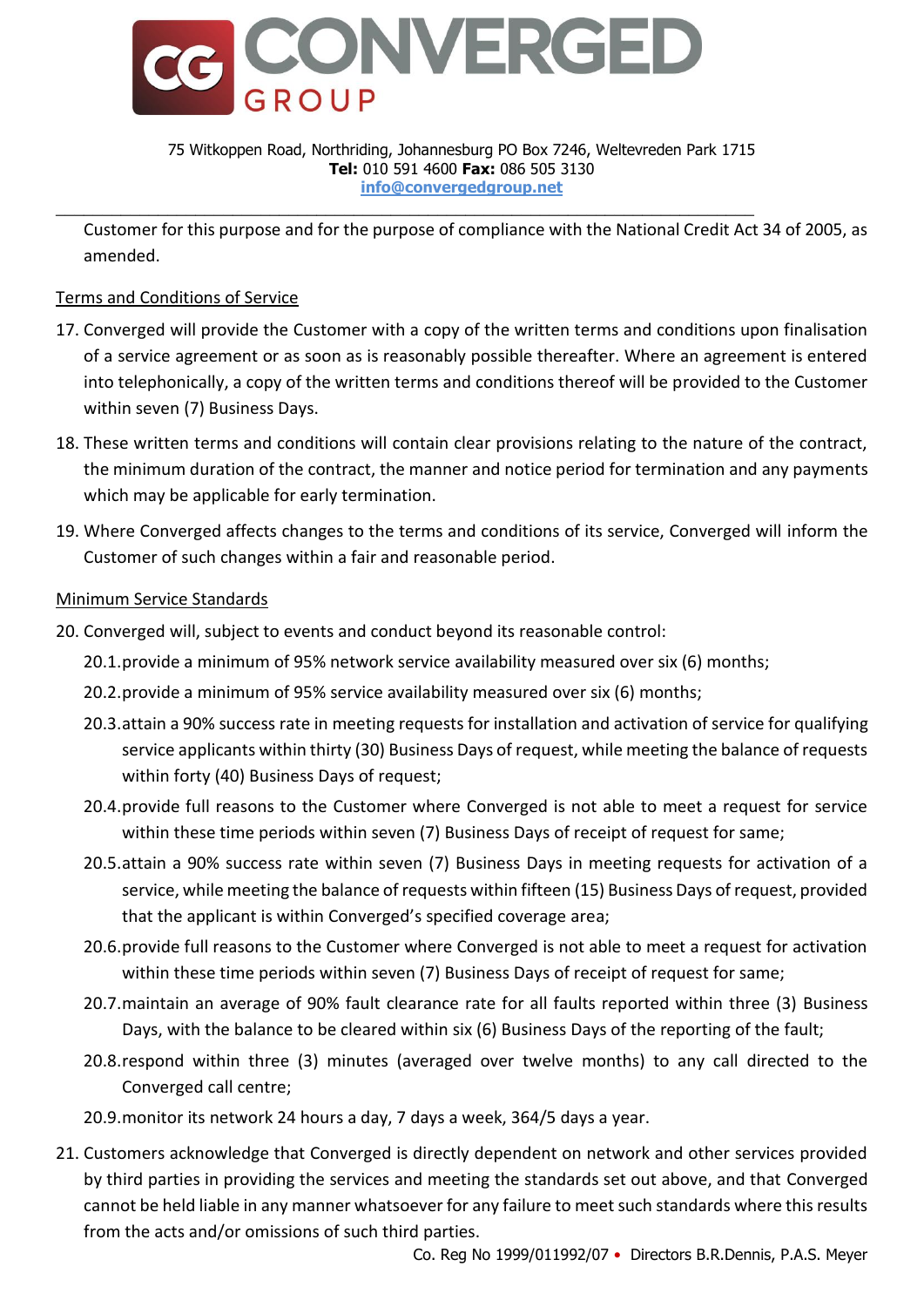

#### 75 Witkoppen Road, Northriding, Johannesburg PO Box 7246, Weltevreden Park 1715 **Tel:** 010 591 4600 **Fax:** 086 505 3130 **info@convergedgroup.net**

Customer for this purpose and for the purpose of compliance with the National Credit Act 34 of 2005, as amended.

# <span id="page-3-0"></span>Terms and Conditions of Service

- 17. Converged will provide the Customer with a copy of the written terms and conditions upon finalisation of a service agreement or as soon as is reasonably possible thereafter. Where an agreement is entered into telephonically, a copy of the written terms and conditions thereof will be provided to the Customer within seven (7) Business Days.
- 18. These written terms and conditions will contain clear provisions relating to the nature of the contract, the minimum duration of the contract, the manner and notice period for termination and any payments which may be applicable for early termination.
- 19. Where Converged affects changes to the terms and conditions of its service, Converged will inform the Customer of such changes within a fair and reasonable period.

# <span id="page-3-1"></span>Minimum Service Standards

- 20. Converged will, subject to events and conduct beyond its reasonable control:
	- 20.1.provide a minimum of 95% network service availability measured over six (6) months;
	- 20.2.provide a minimum of 95% service availability measured over six (6) months;
	- 20.3.attain a 90% success rate in meeting requests for installation and activation of service for qualifying service applicants within thirty (30) Business Days of request, while meeting the balance of requests within forty (40) Business Days of request;
	- 20.4.provide full reasons to the Customer where Converged is not able to meet a request for service within these time periods within seven (7) Business Days of receipt of request for same;
	- 20.5.attain a 90% success rate within seven (7) Business Days in meeting requests for activation of a service, while meeting the balance of requests within fifteen (15) Business Days of request, provided that the applicant is within Converged's specified coverage area;
	- 20.6.provide full reasons to the Customer where Converged is not able to meet a request for activation within these time periods within seven (7) Business Days of receipt of request for same;
	- 20.7.maintain an average of 90% fault clearance rate for all faults reported within three (3) Business Days, with the balance to be cleared within six (6) Business Days of the reporting of the fault;
	- 20.8.respond within three (3) minutes (averaged over twelve months) to any call directed to the Converged call centre;
	- 20.9.monitor its network 24 hours a day, 7 days a week, 364/5 days a year.
- 21. Customers acknowledge that Converged is directly dependent on network and other services provided by third parties in providing the services and meeting the standards set out above, and that Converged cannot be held liable in any manner whatsoever for any failure to meet such standards where this results from the acts and/or omissions of such third parties.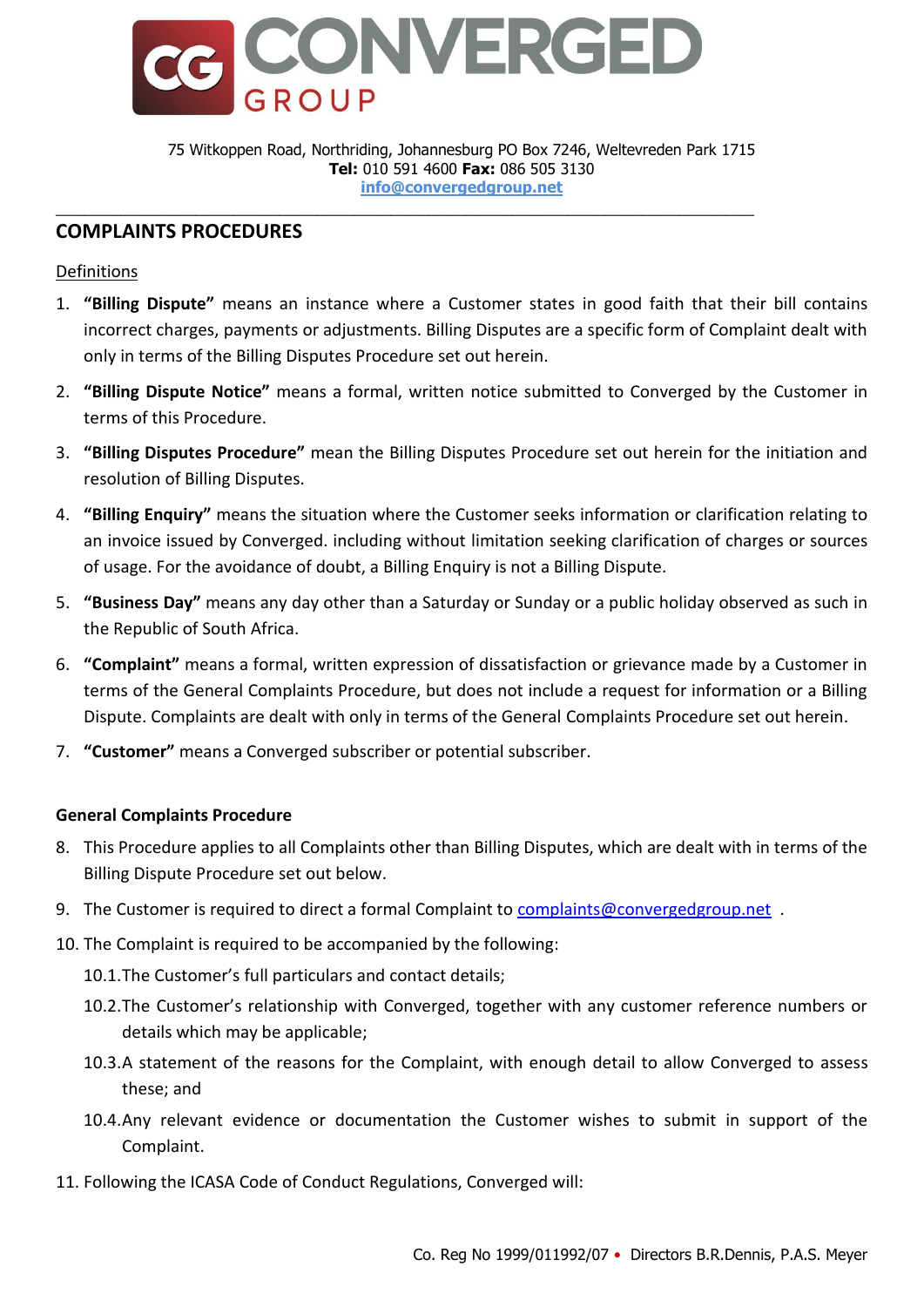

75 Witkoppen Road, Northriding, Johannesburg PO Box 7246, Weltevreden Park 1715 **Tel:** 010 591 4600 **Fax:** 086 505 3130 **info@convergedgroup.net**

# <span id="page-4-0"></span>**COMPLAINTS PROCEDURES**

### <span id="page-4-1"></span>Definitions

- 1. **"Billing Dispute"** means an instance where a Customer states in good faith that their bill contains incorrect charges, payments or adjustments. Billing Disputes are a specific form of Complaint dealt with only in terms of the Billing Disputes Procedure set out herein.
- 2. **"Billing Dispute Notice"** means a formal, written notice submitted to Converged by the Customer in terms of this Procedure.
- 3. **"Billing Disputes Procedure"** mean the Billing Disputes Procedure set out herein for the initiation and resolution of Billing Disputes.
- 4. **"Billing Enquiry"** means the situation where the Customer seeks information or clarification relating to an invoice issued by Converged. including without limitation seeking clarification of charges or sources of usage. For the avoidance of doubt, a Billing Enquiry is not a Billing Dispute.
- 5. **"Business Day"** means any day other than a Saturday or Sunday or a public holiday observed as such in the Republic of South Africa.
- 6. **"Complaint"** means a formal, written expression of dissatisfaction or grievance made by a Customer in terms of the General Complaints Procedure, but does not include a request for information or a Billing Dispute. Complaints are dealt with only in terms of the General Complaints Procedure set out herein.
- <span id="page-4-2"></span>7. **"Customer"** means a Converged subscriber or potential subscriber.

### **General Complaints Procedure**

- 8. This Procedure applies to all Complaints other than Billing Disputes, which are dealt with in terms of the Billing Dispute Procedure set out below.
- 9. The Customer is required to direct a formal Complaint to [complaints@convergedgroup.net](mailto:complaints@convergedgroup.net).
- 10. The Complaint is required to be accompanied by the following:
	- 10.1.The Customer's full particulars and contact details;
	- 10.2.The Customer's relationship with Converged, together with any customer reference numbers or details which may be applicable;
	- 10.3.A statement of the reasons for the Complaint, with enough detail to allow Converged to assess these; and
	- 10.4.Any relevant evidence or documentation the Customer wishes to submit in support of the Complaint.
- 11. Following the ICASA Code of Conduct Regulations, Converged will: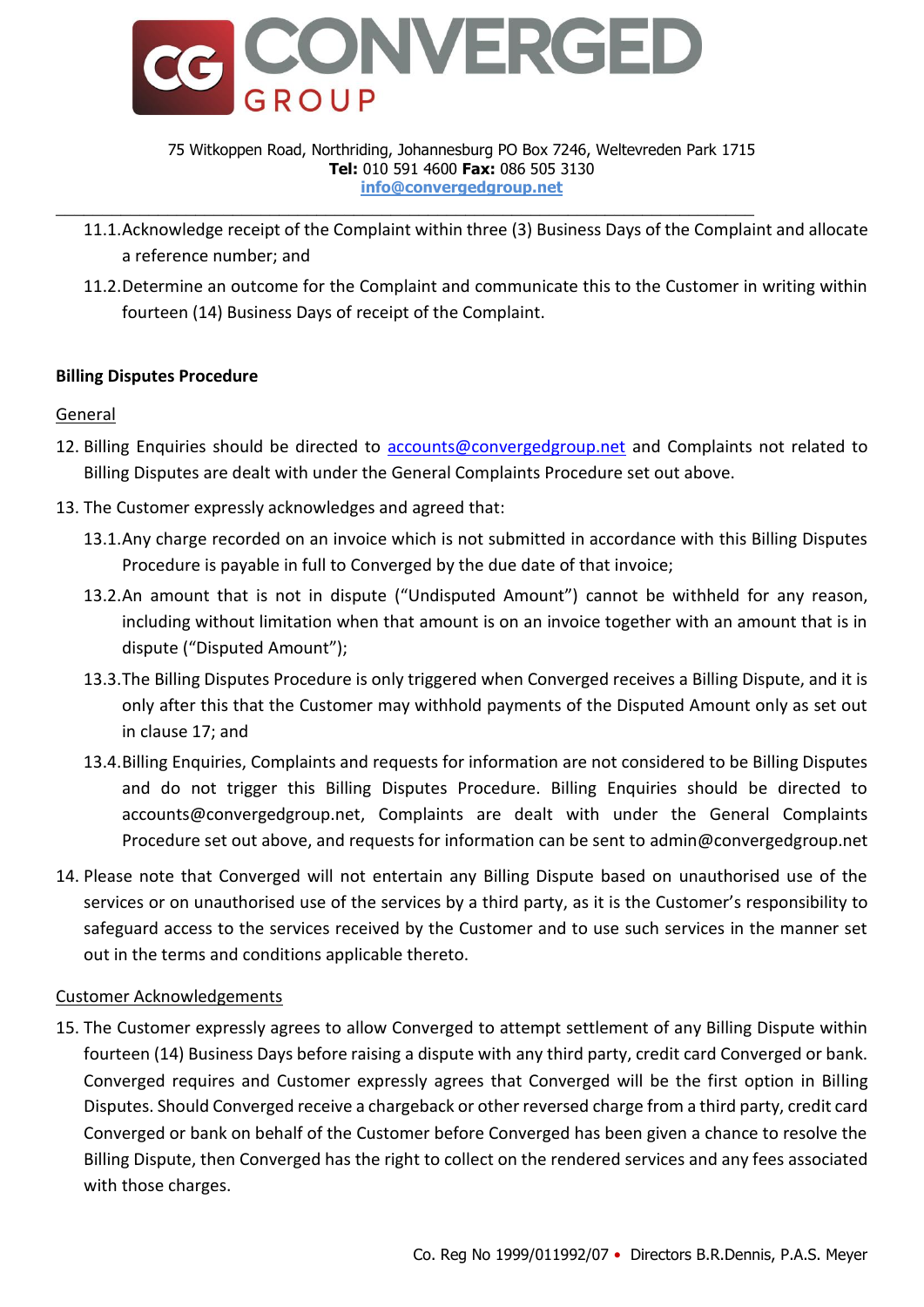

#### 75 Witkoppen Road, Northriding, Johannesburg PO Box 7246, Weltevreden Park 1715 **Tel:** 010 591 4600 **Fax:** 086 505 3130 **info@convergedgroup.net**

- 11.1.Acknowledge receipt of the Complaint within three (3) Business Days of the Complaint and allocate a reference number; and
- 11.2.Determine an outcome for the Complaint and communicate this to the Customer in writing within fourteen (14) Business Days of receipt of the Complaint.

# <span id="page-5-0"></span>**Billing Disputes Procedure**

# <span id="page-5-1"></span>**General**

- 12. Billing Enquiries should be directed to [accounts@convergedgroup.net](mailto:accounts@convergedgroup.net) and Complaints not related to Billing Disputes are dealt with under the General Complaints Procedure set out above.
- 13. The Customer expressly acknowledges and agreed that:
	- 13.1.Any charge recorded on an invoice which is not submitted in accordance with this Billing Disputes Procedure is payable in full to Converged by the due date of that invoice;
	- 13.2.An amount that is not in dispute ("Undisputed Amount") cannot be withheld for any reason, including without limitation when that amount is on an invoice together with an amount that is in dispute ("Disputed Amount");
	- 13.3.The Billing Disputes Procedure is only triggered when Converged receives a Billing Dispute, and it is only after this that the Customer may withhold payments of the Disputed Amount only as set out in claus[e 17;](#page-6-3) and
	- 13.4.Billing Enquiries, Complaints and requests for information are not considered to be Billing Disputes and do not trigger this Billing Disputes Procedure. Billing Enquiries should be directed to accounts@convergedgroup.net, Complaints are dealt with under the General Complaints Procedure set out above, and requests for information can be sent to admin@convergedgroup.net
- 14. Please note that Converged will not entertain any Billing Dispute based on unauthorised use of the services or on unauthorised use of the services by a third party, as it is the Customer's responsibility to safeguard access to the services received by the Customer and to use such services in the manner set out in the terms and conditions applicable thereto.

### <span id="page-5-2"></span>Customer Acknowledgements

15. The Customer expressly agrees to allow Converged to attempt settlement of any Billing Dispute within fourteen (14) Business Days before raising a dispute with any third party, credit card Converged or bank. Converged requires and Customer expressly agrees that Converged will be the first option in Billing Disputes. Should Converged receive a chargeback or other reversed charge from a third party, credit card Converged or bank on behalf of the Customer before Converged has been given a chance to resolve the Billing Dispute, then Converged has the right to collect on the rendered services and any fees associated with those charges.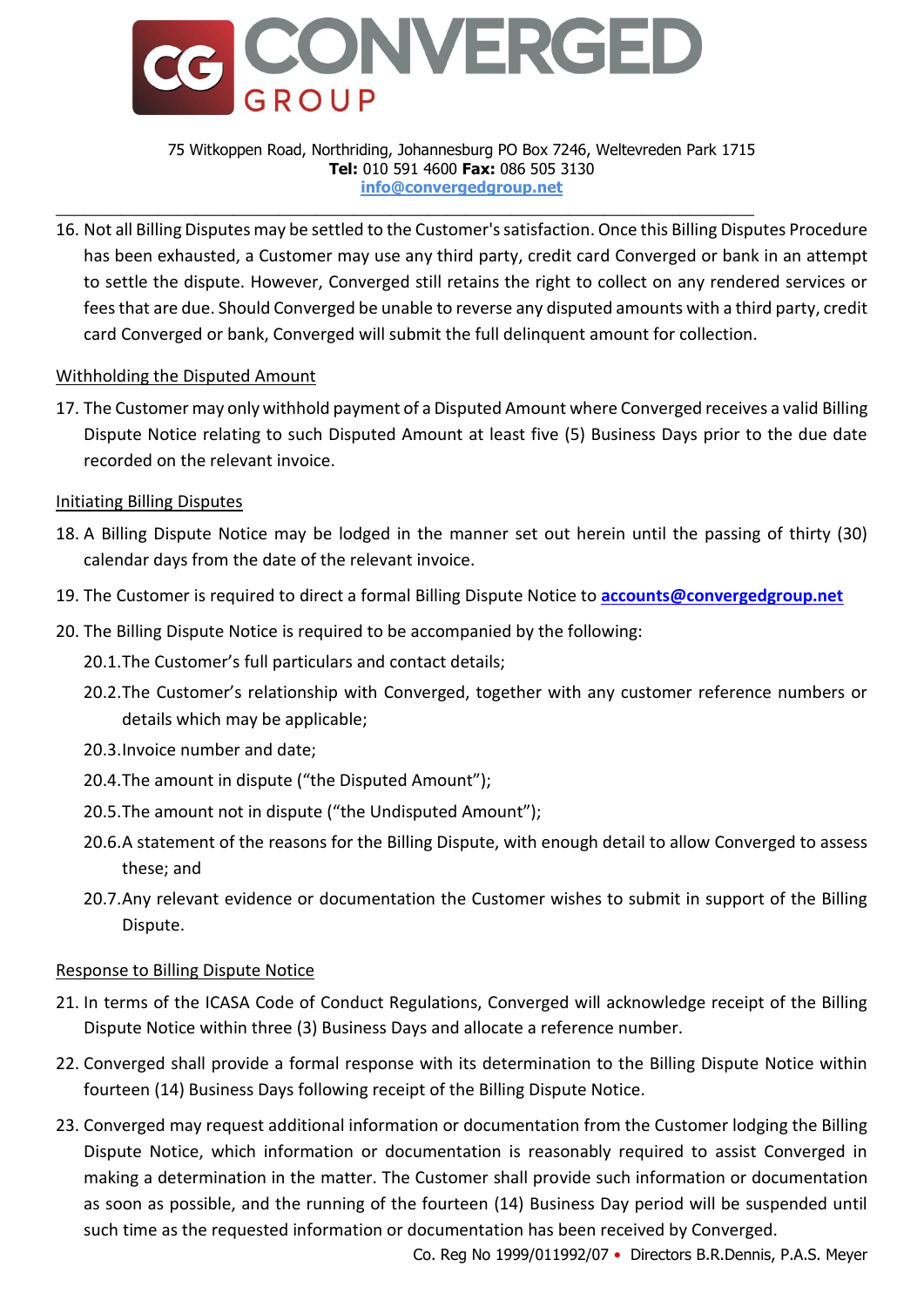

#### 75 Witkoppen Road, Northriding, Johannesburg PO Box 7246, Weltevreden Park 1715 **Tel:** 010 591 4600 **Fax:** 086 505 3130 **info@convergedgroup.net**

16. Not all Billing Disputes may be settled to the Customer's satisfaction. Once this Billing Disputes Procedure has been exhausted, a Customer may use any third party, credit card Converged or bank in an attempt to settle the dispute. However, Converged still retains the right to collect on any rendered services or fees that are due. Should Converged be unable to reverse any disputed amounts with a third party, credit card Converged or bank, Converged will submit the full delinquent amount for collection.

### <span id="page-6-0"></span>Withholding the Disputed Amount

<span id="page-6-3"></span>17. The Customer may only withhold payment of a Disputed Amount where Converged receives a valid Billing Dispute Notice relating to such Disputed Amount at least five (5) Business Days prior to the due date recorded on the relevant invoice.

### <span id="page-6-1"></span>Initiating Billing Disputes

- 18. A Billing Dispute Notice may be lodged in the manner set out herein until the passing of thirty (30) calendar days from the date of the relevant invoice.
- <span id="page-6-5"></span>19. The Customer is required to direct a formal Billing Dispute Notice to **[accounts@convergedgroup.net](mailto:accounts@convergedgroup.net)**
- <span id="page-6-4"></span>20. The Billing Dispute Notice is required to be accompanied by the following:
	- 20.1.The Customer's full particulars and contact details;
	- 20.2.The Customer's relationship with Converged, together with any customer reference numbers or details which may be applicable;
	- 20.3.Invoice number and date;
	- 20.4.The amount in dispute ("the Disputed Amount");
	- 20.5.The amount not in dispute ("the Undisputed Amount");
	- 20.6.A statement of the reasons for the Billing Dispute, with enough detail to allow Converged to assess these; and
	- 20.7.Any relevant evidence or documentation the Customer wishes to submit in support of the Billing Dispute.

# <span id="page-6-2"></span>Response to Billing Dispute Notice

- 21. In terms of the ICASA Code of Conduct Regulations, Converged will acknowledge receipt of the Billing Dispute Notice within three (3) Business Days and allocate a reference number.
- 22. Converged shall provide a formal response with its determination to the Billing Dispute Notice within fourteen (14) Business Days following receipt of the Billing Dispute Notice.
- 23. Converged may request additional information or documentation from the Customer lodging the Billing Dispute Notice, which information or documentation is reasonably required to assist Converged in making a determination in the matter. The Customer shall provide such information or documentation as soon as possible, and the running of the fourteen (14) Business Day period will be suspended until such time as the requested information or documentation has been received by Converged.

Co. Reg No 1999/011992/07 • Directors B.R.Dennis, P.A.S. Meyer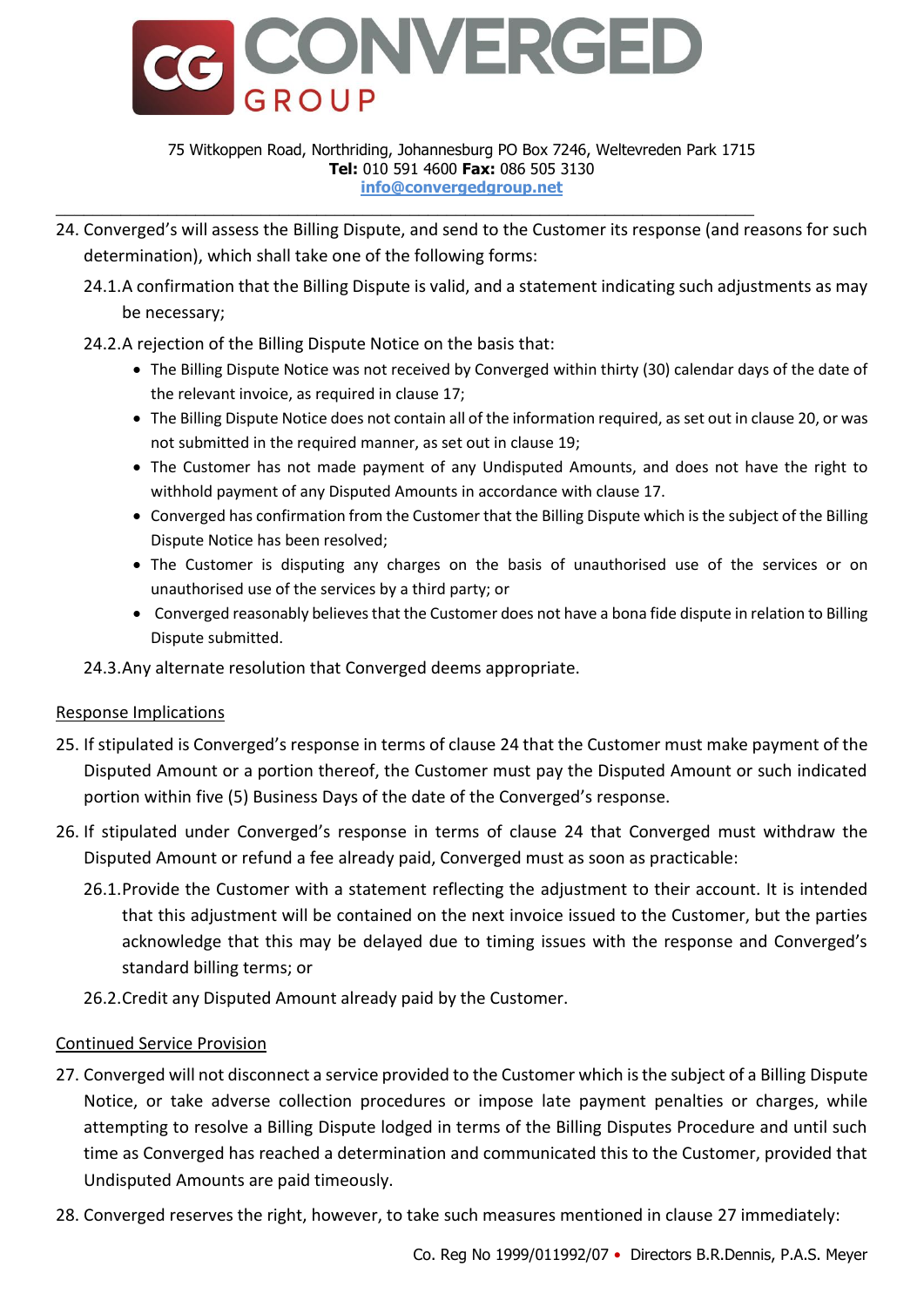

#### 75 Witkoppen Road, Northriding, Johannesburg PO Box 7246, Weltevreden Park 1715 **Tel:** 010 591 4600 **Fax:** 086 505 3130 **info@convergedgroup.net**

- <span id="page-7-2"></span>24. Converged's will assess the Billing Dispute, and send to the Customer its response (and reasons for such determination), which shall take one of the following forms:
	- 24.1.A confirmation that the Billing Dispute is valid, and a statement indicating such adjustments as may be necessary;
	- 24.2.A rejection of the Billing Dispute Notice on the basis that:
		- The Billing Dispute Notice was not received by Converged within thirty (30) calendar days of the date of the relevant invoice, as required in claus[e 17;](#page-6-3)
		- The Billing Dispute Notice does not contain all of the information required, as set out in claus[e 20,](#page-6-4) or was not submitted in the required manner, as set out in claus[e 19;](#page-6-5)
		- The Customer has not made payment of any Undisputed Amounts, and does not have the right to withhold payment of any Disputed Amounts in accordance with claus[e 17.](#page-6-3)
		- Converged has confirmation from the Customer that the Billing Dispute which is the subject of the Billing Dispute Notice has been resolved;
		- The Customer is disputing any charges on the basis of unauthorised use of the services or on unauthorised use of the services by a third party; or
		- Converged reasonably believes that the Customer does not have a bona fide dispute in relation to Billing Dispute submitted.

# 24.3.Any alternate resolution that Converged deems appropriate.

# <span id="page-7-0"></span>Response Implications

- 25. If stipulated is Converged's response in terms of clause [24](#page-7-2) that the Customer must make payment of the Disputed Amount or a portion thereof, the Customer must pay the Disputed Amount or such indicated portion within five (5) Business Days of the date of the Converged's response.
- 26. If stipulated under Converged's response in terms of clause [24](#page-7-2) that Converged must withdraw the Disputed Amount or refund a fee already paid, Converged must as soon as practicable:
	- 26.1.Provide the Customer with a statement reflecting the adjustment to their account. It is intended that this adjustment will be contained on the next invoice issued to the Customer, but the parties acknowledge that this may be delayed due to timing issues with the response and Converged's standard billing terms; or
	- 26.2.Credit any Disputed Amount already paid by the Customer.

# <span id="page-7-1"></span>Continued Service Provision

- <span id="page-7-3"></span>27. Converged will not disconnect a service provided to the Customer which is the subject of a Billing Dispute Notice, or take adverse collection procedures or impose late payment penalties or charges, while attempting to resolve a Billing Dispute lodged in terms of the Billing Disputes Procedure and until such time as Converged has reached a determination and communicated this to the Customer, provided that Undisputed Amounts are paid timeously.
- 28. Converged reserves the right, however, to take such measures mentioned in clause [27](#page-7-3) immediately: